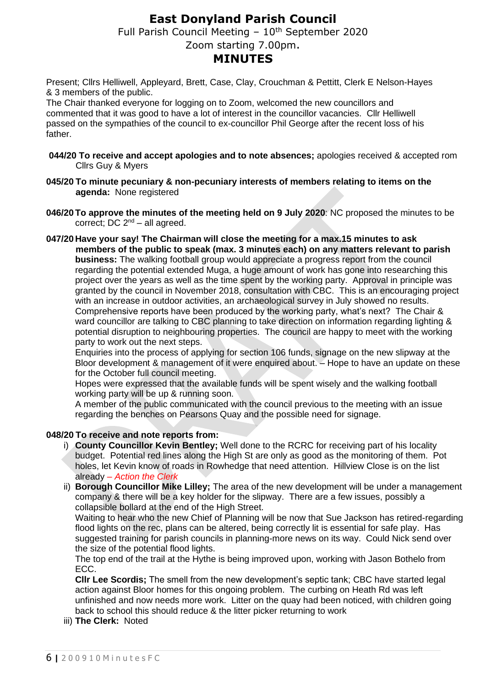# **East Donyland Parish Council**

Full Parish Council Meeting  $-10<sup>th</sup>$  September 2020

## Zoom starting 7.00pm.

## **MINUTES**

Present; Cllrs Helliwell, Appleyard, Brett, Case, Clay, Crouchman & Pettitt, Clerk E Nelson-Hayes & 3 members of the public.

The Chair thanked everyone for logging on to Zoom, welcomed the new councillors and commented that it was good to have a lot of interest in the councillor vacancies. Cllr Helliwell passed on the sympathies of the council to ex-councillor Phil George after the recent loss of his father.

- **044/20 To receive and accept apologies and to note absences;** apologies received & accepted rom Cllrs Guy & Myers
- **045/20 To minute pecuniary & non-pecuniary interests of members relating to items on the agenda:** None registered
- **046/20To approve the minutes of the meeting held on 9 July 2020**: NC proposed the minutes to be correct; DC  $2^{nd}$  – all agreed.
- **047/20 Have your say! The Chairman will close the meeting for a max.15 minutes to ask members of the public to speak (max. 3 minutes each) on any matters relevant to parish business:** The walking football group would appreciate a progress report from the council regarding the potential extended Muga, a huge amount of work has gone into researching this project over the years as well as the time spent by the working party. Approval in principle was granted by the council in November 2018, consultation with CBC. This is an encouraging project with an increase in outdoor activities, an archaeological survey in July showed no results. Comprehensive reports have been produced by the working party, what's next? The Chair & ward councillor are talking to CBC planning to take direction on information regarding lighting & potential disruption to neighbouring properties. The council are happy to meet with the working party to work out the next steps.

Enquiries into the process of applying for section 106 funds, signage on the new slipway at the Bloor development & management of it were enquired about. – Hope to have an update on these for the October full council meeting.

Hopes were expressed that the available funds will be spent wisely and the walking football working party will be up & running soon.

A member of the public communicated with the council previous to the meeting with an issue regarding the benches on Pearsons Quay and the possible need for signage.

#### **048/20 To receive and note reports from:**

- i) **County Councillor Kevin Bentley;** Well done to the RCRC for receiving part of his locality budget. Potential red lines along the High St are only as good as the monitoring of them. Pot holes, let Kevin know of roads in Rowhedge that need attention. Hillview Close is on the list already *– Action the Clerk*
- ii) **Borough Councillor Mike Lilley;** The area of the new development will be under a management company & there will be a key holder for the slipway. There are a few issues, possibly a collapsible bollard at the end of the High Street.

Waiting to hear who the new Chief of Planning will be now that Sue Jackson has retired-regarding flood lights on the rec, plans can be altered, being correctly lit is essential for safe play. Has suggested training for parish councils in planning-more news on its way. Could Nick send over the size of the potential flood lights.

The top end of the trail at the Hythe is being improved upon, working with Jason Bothelo from ECC.

**Cllr Lee Scordis;** The smell from the new development's septic tank; CBC have started legal action against Bloor homes for this ongoing problem. The curbing on Heath Rd was left unfinished and now needs more work. Litter on the quay had been noticed, with children going back to school this should reduce & the litter picker returning to work

iii) **The Clerk:** Noted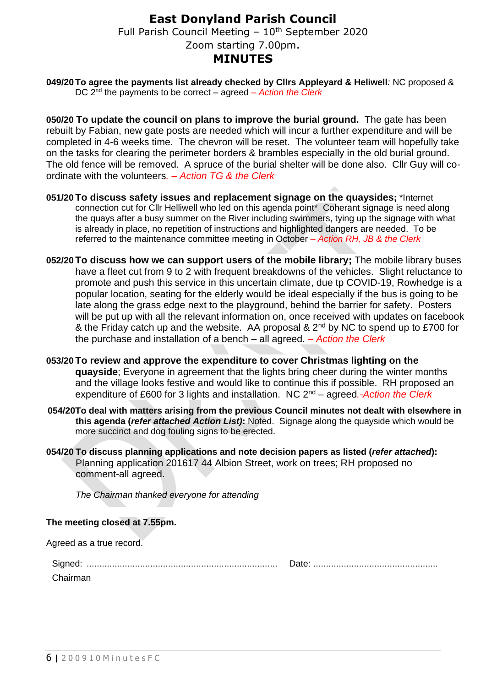## **East Donyland Parish Council** Full Parish Council Meeting  $-10<sup>th</sup>$  September 2020 Zoom starting 7.00pm. **MINUTES**

 **049/20To agree the payments list already checked by Cllrs Appleyard & Heliwell***:* NC proposed & DC 2nd the payments to be correct – agreed *– Action the Clerk*

**050/20 To update the council on plans to improve the burial ground.** The gate has been rebuilt by Fabian, new gate posts are needed which will incur a further expenditure and will be completed in 4-6 weeks time. The chevron will be reset. The volunteer team will hopefully take on the tasks for clearing the perimeter borders & brambles especially in the old burial ground. The old fence will be removed. A spruce of the burial shelter will be done also. Cllr Guy will coordinate with the volunteers*. – Action TG & the Clerk*

- **051/20 To discuss safety issues and replacement signage on the quaysides;** \*Internet connection cut for Cllr Helliwell who led on this agenda point\* Coherant signage is need along the quays after a busy summer on the River including swimmers, tying up the signage with what is already in place, no repetition of instructions and highlighted dangers are needed. To be referred to the maintenance committee meeting in October *– Action RH, JB & the Clerk*
- **052/20 To discuss how we can support users of the mobile library;** The mobile library buses have a fleet cut from 9 to 2 with frequent breakdowns of the vehicles. Slight reluctance to promote and push this service in this uncertain climate, due tp COVID-19, Rowhedge is a popular location, seating for the elderly would be ideal especially if the bus is going to be late along the grass edge next to the playground, behind the barrier for safety. Posters will be put up with all the relevant information on, once received with updates on facebook & the Friday catch up and the website. AA proposal &  $2<sup>nd</sup>$  by NC to spend up to £700 for the purchase and installation of a bench – all agreed. *– Action the Clerk*
- **053/20 To review and approve the expenditure to cover Christmas lighting on the quayside**; Everyone in agreement that the lights bring cheer during the winter months and the village looks festive and would like to continue this if possible. RH proposed an expenditure of £600 for 3 lights and installation. NC 2 nd – agreed*.-Action the Clerk*
- **054/20To deal with matters arising from the previous Council minutes not dealt with elsewhere in this agenda (***refer attached Action List)***:** Noted. Signage along the quayside which would be more succinct and dog fouling signs to be erected.
- **054/20 To discuss planning applications and note decision papers as listed (***refer attached***):** Planning application 201617 44 Albion Street, work on trees; RH proposed no comment-all agreed.

*The Chairman thanked everyone for attending* 

#### **The meeting closed at 7.55pm.**

Agreed as a true record.

| $1.91$ cod do a trao robord. |  |
|------------------------------|--|
|                              |  |
| Chairman                     |  |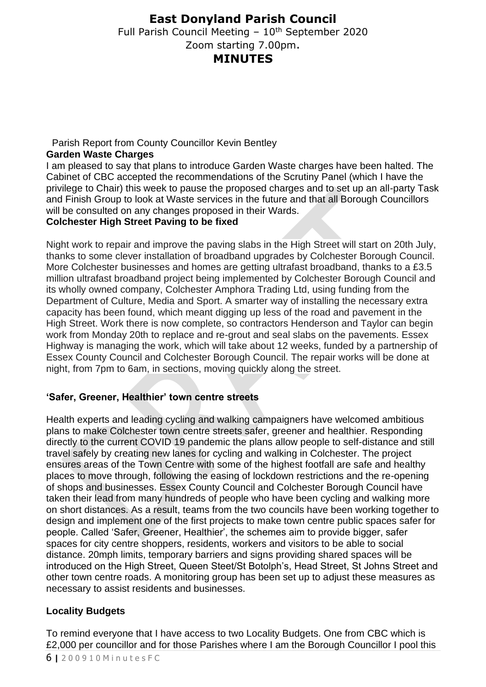# **East Donyland Parish Council**

Full Parish Council Meeting  $-10<sup>th</sup>$  September 2020 Zoom starting 7.00pm. **MINUTES**

### Parish Report from County Councillor Kevin Bentley

### **Garden Waste Charges**

I am pleased to say that plans to introduce Garden Waste charges have been halted. The Cabinet of CBC accepted the recommendations of the Scrutiny Panel (which I have the privilege to Chair) this week to pause the proposed charges and to set up an all-party Task and Finish Group to look at Waste services in the future and that all Borough Councillors will be consulted on any changes proposed in their Wards.

## **Colchester High Street Paving to be fixed**

Night work to repair and improve the paving slabs in the High Street will start on 20th July, thanks to some clever installation of broadband upgrades by Colchester Borough Council. More Colchester businesses and homes are getting ultrafast broadband, thanks to a £3.5 million ultrafast broadband project being implemented by Colchester Borough Council and its wholly owned company, Colchester Amphora Trading Ltd, using funding from the Department of Culture, Media and Sport. A smarter way of installing the necessary extra capacity has been found, which meant digging up less of the road and pavement in the High Street. Work there is now complete, so contractors Henderson and Taylor can begin work from Monday 20th to replace and re-grout and seal slabs on the pavements. Essex Highway is managing the work, which will take about 12 weeks, funded by a partnership of Essex County Council and Colchester Borough Council. The repair works will be done at night, from 7pm to 6am, in sections, moving quickly along the street.

## **'Safer, Greener, Healthier' town centre streets**

Health experts and leading cycling and walking campaigners have welcomed ambitious plans to make Colchester town centre streets safer, greener and healthier. Responding directly to the current COVID 19 pandemic the plans allow people to self-distance and still travel safely by creating new lanes for cycling and walking in Colchester. The project ensures areas of the Town Centre with some of the highest footfall are safe and healthy places to move through, following the easing of lockdown restrictions and the re-opening of shops and businesses. Essex County Council and Colchester Borough Council have taken their lead from many hundreds of people who have been cycling and walking more on short distances. As a result, teams from the two councils have been working together to design and implement one of the first projects to make town centre public spaces safer for people. Called 'Safer, Greener, Healthier', the schemes aim to provide bigger, safer spaces for city centre shoppers, residents, workers and visitors to be able to social distance. 20mph limits, temporary barriers and signs providing shared spaces will be introduced on the High Street, Queen Steet/St Botolph's, Head Street, St Johns Street and other town centre roads. A monitoring group has been set up to adjust these measures as necessary to assist residents and businesses.

## **Locality Budgets**

6 **|** 2 0 0 9 1 0 M i n u t e s F C To remind everyone that I have access to two Locality Budgets. One from CBC which is £2,000 per councillor and for those Parishes where I am the Borough Councillor I pool this